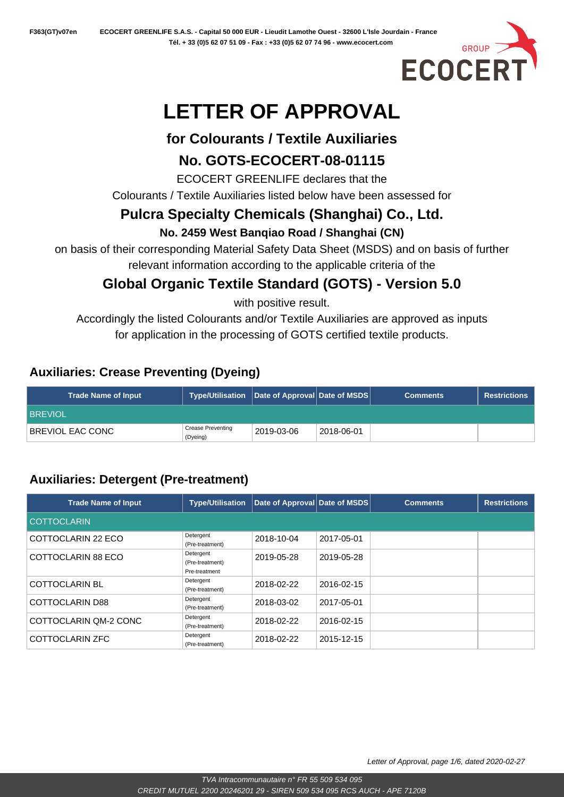

# **LETTER OF APPROVAL**

## **for Colourants / Textile Auxiliaries**

# **No. GOTS-ECOCERT-08-01115**

ECOCERT GREENLIFE declares that the

Colourants / Textile Auxiliaries listed below have been assessed for

# **Pulcra Specialty Chemicals (Shanghai) Co., Ltd.**

#### **No. 2459 West Banqiao Road / Shanghai (CN)**

on basis of their corresponding Material Safety Data Sheet (MSDS) and on basis of further relevant information according to the applicable criteria of the

# **Global Organic Textile Standard (GOTS) - Version 5.0**

with positive result.

Accordingly the listed Colourants and/or Textile Auxiliaries are approved as inputs for application in the processing of GOTS certified textile products.

## **Auxiliaries: Crease Preventing (Dyeing)**

| <b>Trade Name of Input</b> | Type/Utilisation $ $ Date of Approval Date of MSDS $ $ ' |            |            | <b>Comments</b> | <b>Restrictions</b> |
|----------------------------|----------------------------------------------------------|------------|------------|-----------------|---------------------|
| <b>BREVIOL</b>             |                                                          |            |            |                 |                     |
| BREVIOL EAC CONC           | <b>Crease Preventing</b><br>(Dyeing)                     | 2019-03-06 | 2018-06-01 |                 |                     |

# **Auxiliaries: Detergent (Pre-treatment)**

| <b>Trade Name of Input</b> | <b>Type/Utilisation</b>                       | Date of Approval Date of MSDS |            | <b>Comments</b> | <b>Restrictions</b> |
|----------------------------|-----------------------------------------------|-------------------------------|------------|-----------------|---------------------|
| <b>COTTOCLARIN</b>         |                                               |                               |            |                 |                     |
| COTTOCLARIN 22 ECO         | Detergent<br>(Pre-treatment)                  | 2018-10-04                    | 2017-05-01 |                 |                     |
| COTTOCLARIN 88 ECO         | Detergent<br>(Pre-treatment)<br>Pre-treatment | 2019-05-28                    | 2019-05-28 |                 |                     |
| <b>COTTOCLARIN BL</b>      | Detergent<br>(Pre-treatment)                  | 2018-02-22                    | 2016-02-15 |                 |                     |
| COTTOCLARIN D88            | Detergent<br>(Pre-treatment)                  | 2018-03-02                    | 2017-05-01 |                 |                     |
| COTTOCLARIN QM-2 CONC      | Detergent<br>(Pre-treatment)                  | 2018-02-22                    | 2016-02-15 |                 |                     |
| COTTOCLARIN ZFC            | Detergent<br>(Pre-treatment)                  | 2018-02-22                    | 2015-12-15 |                 |                     |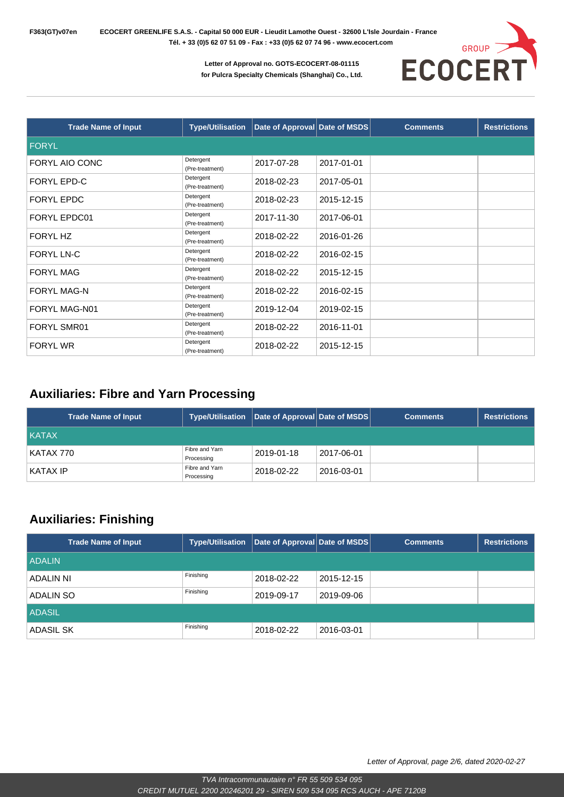

| <b>Trade Name of Input</b> | <b>Type/Utilisation</b>      | Date of Approval Date of MSDS |            | <b>Comments</b> | <b>Restrictions</b> |
|----------------------------|------------------------------|-------------------------------|------------|-----------------|---------------------|
| <b>FORYL</b>               |                              |                               |            |                 |                     |
| FORYL AIO CONC             | Detergent<br>(Pre-treatment) | 2017-07-28                    | 2017-01-01 |                 |                     |
| <b>FORYL EPD-C</b>         | Detergent<br>(Pre-treatment) | 2018-02-23                    | 2017-05-01 |                 |                     |
| <b>FORYL EPDC</b>          | Detergent<br>(Pre-treatment) | 2018-02-23                    | 2015-12-15 |                 |                     |
| <b>FORYL EPDC01</b>        | Detergent<br>(Pre-treatment) | 2017-11-30                    | 2017-06-01 |                 |                     |
| FORYL HZ                   | Detergent<br>(Pre-treatment) | 2018-02-22                    | 2016-01-26 |                 |                     |
| <b>FORYL LN-C</b>          | Detergent<br>(Pre-treatment) | 2018-02-22                    | 2016-02-15 |                 |                     |
| <b>FORYL MAG</b>           | Detergent<br>(Pre-treatment) | 2018-02-22                    | 2015-12-15 |                 |                     |
| <b>FORYL MAG-N</b>         | Detergent<br>(Pre-treatment) | 2018-02-22                    | 2016-02-15 |                 |                     |
| FORYL MAG-N01              | Detergent<br>(Pre-treatment) | 2019-12-04                    | 2019-02-15 |                 |                     |
| <b>FORYL SMR01</b>         | Detergent<br>(Pre-treatment) | 2018-02-22                    | 2016-11-01 |                 |                     |
| <b>FORYL WR</b>            | Detergent<br>(Pre-treatment) | 2018-02-22                    | 2015-12-15 |                 |                     |

#### **Auxiliaries: Fibre and Yarn Processing**

| Trade Name of Input | <b>Type/Utilisation</b>      | $\vert$ Date of Approval Date of MSDS $\vert$ |            | <b>Comments</b> | <b>Restrictions</b> |
|---------------------|------------------------------|-----------------------------------------------|------------|-----------------|---------------------|
| <b>KATAX</b>        |                              |                                               |            |                 |                     |
| KATAX 770           | Fibre and Yarn<br>Processing | 2019-01-18                                    | 2017-06-01 |                 |                     |
| KATAX IP            | Fibre and Yarn<br>Processing | 2018-02-22                                    | 2016-03-01 |                 |                     |

#### **Auxiliaries: Finishing**

| <b>Trade Name of Input</b> | <b>Type/Utilisation</b> | Date of Approval Date of MSDS |            | <b>Comments</b> | <b>Restrictions</b> |
|----------------------------|-------------------------|-------------------------------|------------|-----------------|---------------------|
| <b>ADALIN</b>              |                         |                               |            |                 |                     |
| ADALIN NI                  | Finishing               | 2018-02-22                    | 2015-12-15 |                 |                     |
| ADALIN SO                  | Finishing               | 2019-09-17                    | 2019-09-06 |                 |                     |
| <b>ADASIL</b>              |                         |                               |            |                 |                     |
| ADASIL SK                  | Finishing               | 2018-02-22                    | 2016-03-01 |                 |                     |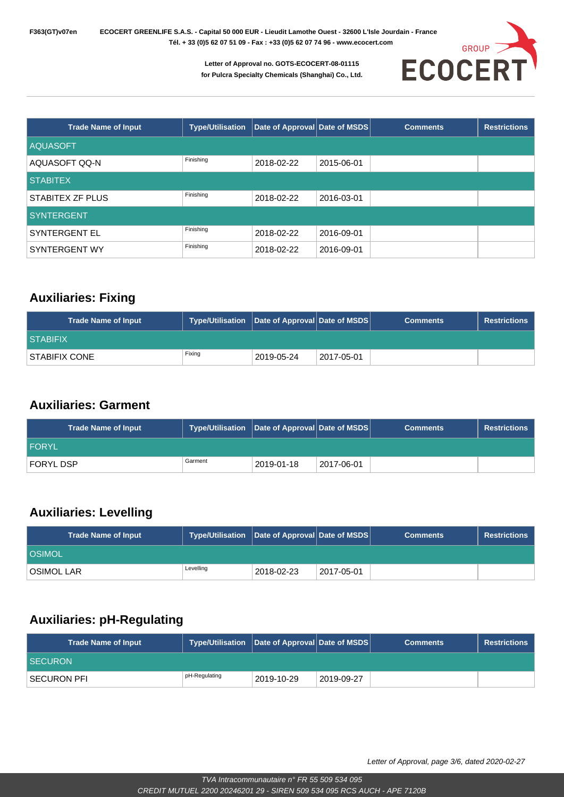

| <b>Trade Name of Input</b> | <b>Type/Utilisation</b> | Date of Approval Date of MSDS |            | <b>Comments</b> | <b>Restrictions</b> |
|----------------------------|-------------------------|-------------------------------|------------|-----------------|---------------------|
| <b>AQUASOFT</b>            |                         |                               |            |                 |                     |
| AQUASOFT QQ-N              | Finishing               | 2018-02-22                    | 2015-06-01 |                 |                     |
| <b>STABITEX</b>            |                         |                               |            |                 |                     |
| STABITEX ZF PLUS           | Finishing               | 2018-02-22                    | 2016-03-01 |                 |                     |
| <b>SYNTERGENT</b>          |                         |                               |            |                 |                     |
| <b>SYNTERGENT EL</b>       | Finishing               | 2018-02-22                    | 2016-09-01 |                 |                     |
| SYNTERGENT WY              | Finishing               | 2018-02-22                    | 2016-09-01 |                 |                     |

#### **Auxiliaries: Fixing**

| <b>Trade Name of Input</b> | Type/Utilisation Date of Approval Date of MSDS |            |            | <b>Comments</b> | <b>Restrictions</b> |
|----------------------------|------------------------------------------------|------------|------------|-----------------|---------------------|
| <b>STABIFIX</b>            |                                                |            |            |                 |                     |
| STABIFIX CONE              | Fixing                                         | 2019-05-24 | 2017-05-01 |                 |                     |

#### **Auxiliaries: Garment**

| <b>Trade Name of Input</b> | Type/Utilisation   Date of Approval   Date of MSDS |             |            | <b>Comments</b> | <b>Restrictions</b> |
|----------------------------|----------------------------------------------------|-------------|------------|-----------------|---------------------|
| <b>FORYL</b>               |                                                    |             |            |                 |                     |
| <b>FORYL DSP</b>           | Garment                                            | 12019-01-18 | 2017-06-01 |                 |                     |

#### **Auxiliaries: Levelling**

| <b>Trade Name of Input</b> | Type/Utilisation   Date of Approval   Date of MSDS |            |            | <b>Comments</b> | <b>Restrictions</b> |
|----------------------------|----------------------------------------------------|------------|------------|-----------------|---------------------|
| <b>COSIMOL</b>             |                                                    |            |            |                 |                     |
| <b>OSIMOL LAR</b>          | Levelling                                          | 2018-02-23 | 2017-05-01 |                 |                     |

#### **Auxiliaries: pH-Regulating**

| <b>Trade Name of Input</b> | Type/Utilisation   Date of Approval   Date of MSDS |             |            | <b>Comments</b> | <b>Restrictions</b> |
|----------------------------|----------------------------------------------------|-------------|------------|-----------------|---------------------|
| <b>SECURON</b>             |                                                    |             |            |                 |                     |
| SECURON PFI                | pH-Regulating                                      | 12019-10-29 | 2019-09-27 |                 |                     |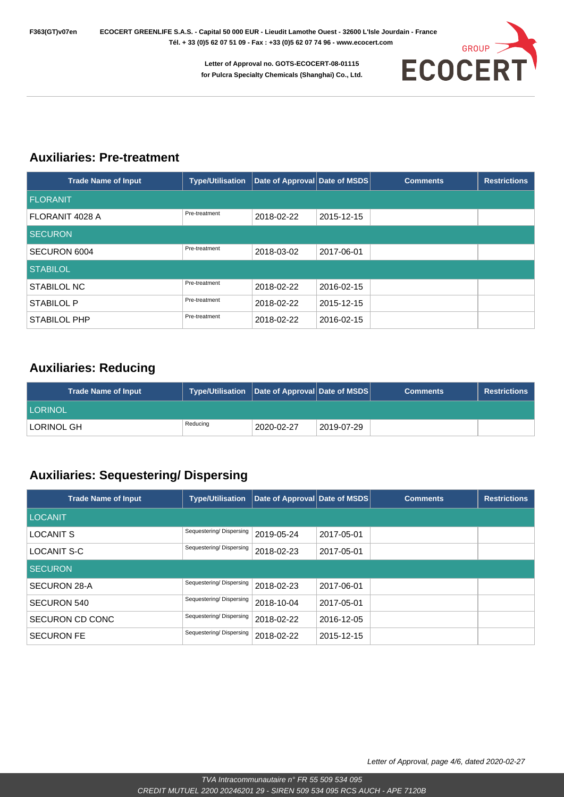

#### **Auxiliaries: Pre-treatment**

| <b>Trade Name of Input</b> | <b>Type/Utilisation</b> | Date of Approval Date of MSDS |            | <b>Comments</b> | <b>Restrictions</b> |
|----------------------------|-------------------------|-------------------------------|------------|-----------------|---------------------|
| <b>FLORANIT</b>            |                         |                               |            |                 |                     |
| FLORANIT 4028 A            | Pre-treatment           | 2018-02-22                    | 2015-12-15 |                 |                     |
| <b>SECURON</b>             |                         |                               |            |                 |                     |
| SECURON 6004               | Pre-treatment           | 2018-03-02                    | 2017-06-01 |                 |                     |
| <b>STABILOL</b>            |                         |                               |            |                 |                     |
| <b>STABILOL NC</b>         | Pre-treatment           | 2018-02-22                    | 2016-02-15 |                 |                     |
| <b>STABILOL P</b>          | Pre-treatment           | 2018-02-22                    | 2015-12-15 |                 |                     |
| <b>STABILOL PHP</b>        | Pre-treatment           | 2018-02-22                    | 2016-02-15 |                 |                     |

#### **Auxiliaries: Reducing**

| <b>Trade Name of Input</b> | Type/Utilisation Date of Approval Date of MSDS |            |            | <b>Comments</b> | <b>Restrictions</b> |
|----------------------------|------------------------------------------------|------------|------------|-----------------|---------------------|
| <b>LORINOL</b>             |                                                |            |            |                 |                     |
| LORINOL GH                 | Reducing                                       | 2020-02-27 | 2019-07-29 |                 |                     |

#### **Auxiliaries: Sequestering/ Dispersing**

| <b>Trade Name of Input</b> | <b>Type/Utilisation</b> | Date of Approval Date of MSDS |            | <b>Comments</b> | <b>Restrictions</b> |
|----------------------------|-------------------------|-------------------------------|------------|-----------------|---------------------|
| <b>LOCANIT</b>             |                         |                               |            |                 |                     |
| <b>LOCANIT S</b>           | Sequestering/Dispersing | 2019-05-24                    | 2017-05-01 |                 |                     |
| <b>LOCANIT S-C</b>         | Sequestering/Dispersing | 2018-02-23                    | 2017-05-01 |                 |                     |
| <b>SECURON</b>             |                         |                               |            |                 |                     |
| SECURON 28-A               | Sequestering/Dispersing | 2018-02-23                    | 2017-06-01 |                 |                     |
| <b>SECURON 540</b>         | Sequestering/Dispersing | 2018-10-04                    | 2017-05-01 |                 |                     |
| SECURON CD CONC            | Sequestering/Dispersing | 2018-02-22                    | 2016-12-05 |                 |                     |
| <b>SECURON FE</b>          | Sequestering/Dispersing | 2018-02-22                    | 2015-12-15 |                 |                     |

Letter of Approval, page 4/6, dated 2020-02-27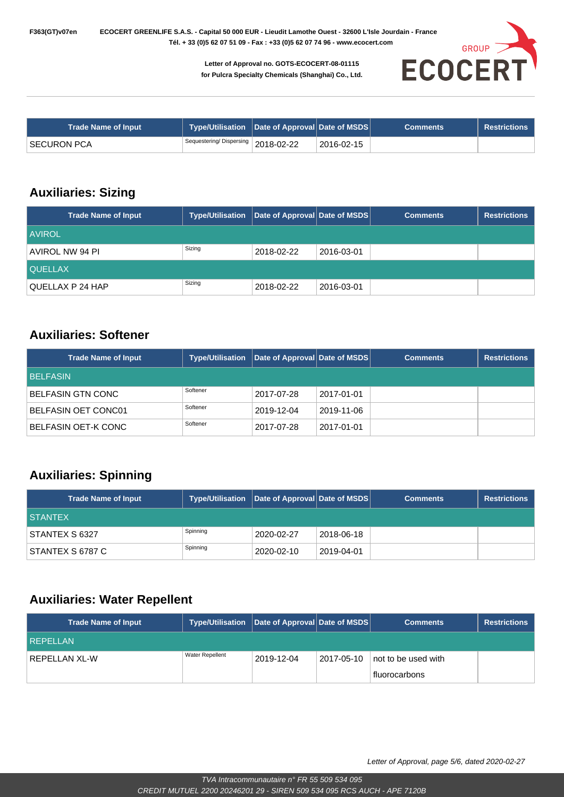

| <b>Trade Name of Input</b> | Type/Utilisation   Date of Approval   Date of MSDS |            | <b>Comments</b> | <b>Restrictions</b> |
|----------------------------|----------------------------------------------------|------------|-----------------|---------------------|
| ' SECURON PCA              | Sequestering/Dispersing 2018-02-22                 | 2016-02-15 |                 |                     |

#### **Auxiliaries: Sizing**

| <b>Trade Name of Input</b> | <b>Type/Utilisation</b> | Date of Approval Date of MSDS |            | <b>Comments</b> | <b>Restrictions</b> |
|----------------------------|-------------------------|-------------------------------|------------|-----------------|---------------------|
| <b>AVIROL</b>              |                         |                               |            |                 |                     |
| AVIROL NW 94 PI            | Sizing                  | 2018-02-22                    | 2016-03-01 |                 |                     |
| <b>QUELLAX</b>             |                         |                               |            |                 |                     |
| QUELLAX P 24 HAP           | Sizing                  | 2018-02-22                    | 2016-03-01 |                 |                     |

#### **Auxiliaries: Softener**

| <b>Trade Name of Input</b> | <b>Type/Utilisation</b> | Date of Approval Date of MSDS |            | <b>Comments</b> | <b>Restrictions</b> |
|----------------------------|-------------------------|-------------------------------|------------|-----------------|---------------------|
| <b>BELFASIN</b>            |                         |                               |            |                 |                     |
| BELFASIN GTN CONC          | Softener                | 2017-07-28                    | 2017-01-01 |                 |                     |
| <b>BELFASIN OET CONC01</b> | Softener                | 2019-12-04                    | 2019-11-06 |                 |                     |
| BELFASIN OET-K CONC        | Softener                | 2017-07-28                    | 2017-01-01 |                 |                     |

#### **Auxiliaries: Spinning**

| <b>Trade Name of Input</b> | Type/Utilisation   Date of Approval Date of MSDS |            |            | <b>Comments</b> | <b>Restrictions</b> |
|----------------------------|--------------------------------------------------|------------|------------|-----------------|---------------------|
| <b>STANTEX</b>             |                                                  |            |            |                 |                     |
| STANTEX S 6327             | Spinning                                         | 2020-02-27 | 2018-06-18 |                 |                     |
| STANTEX S 6787 C           | Spinning                                         | 2020-02-10 | 2019-04-01 |                 |                     |

#### **Auxiliaries: Water Repellent**

| <b>Trade Name of Input</b> | Type/Utilisation   Date of Approval   Date of MSDS |            |            | <b>Comments</b>                      | <b>Restrictions</b> |
|----------------------------|----------------------------------------------------|------------|------------|--------------------------------------|---------------------|
| REPELLAN                   |                                                    |            |            |                                      |                     |
| REPELLAN XL-W              | <b>Water Repellent</b>                             | 2019-12-04 | 2017-05-10 | not to be used with<br>fluorocarbons |                     |